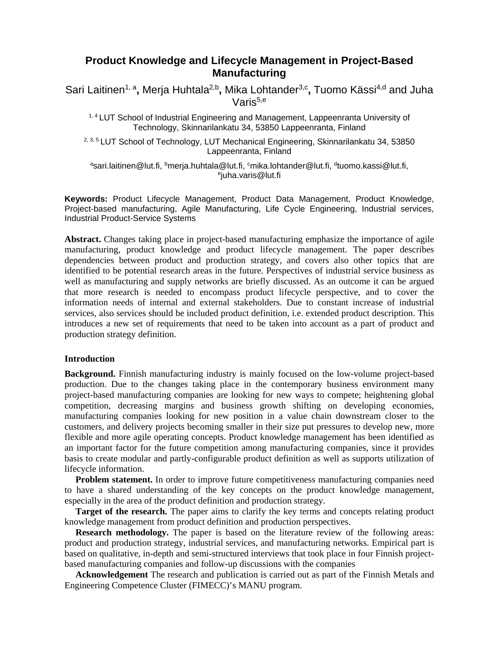# **Product Knowledge and Lifecycle Management in Project-Based Manufacturing**

Sari Laitinen<sup>1, a</sup>, Merja Huhtala<sup>2,b</sup>, Mika Lohtander<sup>3,c</sup>, Tuomo Kässi<sup>4,d</sup> and Juha Varis<sup>5,e</sup>

1, 4 LUT School of Industrial Engineering and Management, Lappeenranta University of Technology, Skinnarilankatu 34, 53850 Lappeenranta, Finland

<sup>2, 3, 5</sup> LUT School of Technology, LUT Mechanical Engineering, Skinnarilankatu 34, 53850 Lappeenranta, Finland

<sup>a</sup>sari.laitinen@lut.fi, <sup>b</sup>merja.huhtala@lut.fi, <sup>c</sup>mika.lohtander@lut.fi, <sup>d</sup>tuomo.kassi@lut.fi,<br>eiuba varis@lut fi  $e$ juha.varis@lut.fi

**Keywords:** Product Lifecycle Management, Product Data Management, Product Knowledge, Project-based manufacturing, Agile Manufacturing, Life Cycle Engineering, Industrial services, Industrial Product-Service Systems

**Abstract.** Changes taking place in project-based manufacturing emphasize the importance of agile manufacturing, product knowledge and product lifecycle management. The paper describes dependencies between product and production strategy, and covers also other topics that are identified to be potential research areas in the future. Perspectives of industrial service business as well as manufacturing and supply networks are briefly discussed. As an outcome it can be argued that more research is needed to encompass product lifecycle perspective, and to cover the information needs of internal and external stakeholders. Due to constant increase of industrial services, also services should be included product definition, i.e. extended product description. This introduces a new set of requirements that need to be taken into account as a part of product and production strategy definition.

## **Introduction**

**Background.** Finnish manufacturing industry is mainly focused on the low-volume project-based production. Due to the changes taking place in the contemporary business environment many project-based manufacturing companies are looking for new ways to compete; heightening global competition, decreasing margins and business growth shifting on developing economies, manufacturing companies looking for new position in a value chain downstream closer to the customers, and delivery projects becoming smaller in their size put pressures to develop new, more flexible and more agile operating concepts. Product knowledge management has been identified as an important factor for the future competition among manufacturing companies, since it provides basis to create modular and partly-configurable product definition as well as supports utilization of lifecycle information.

**Problem statement.** In order to improve future competitiveness manufacturing companies need to have a shared understanding of the key concepts on the product knowledge management, especially in the area of the product definition and production strategy.

**Target of the research.** The paper aims to clarify the key terms and concepts relating product knowledge management from product definition and production perspectives.

**Research methodology.** The paper is based on the literature review of the following areas: product and production strategy, industrial services, and manufacturing networks. Empirical part is based on qualitative, in-depth and semi-structured interviews that took place in four Finnish projectbased manufacturing companies and follow-up discussions with the companies

**Acknowledgement** The research and publication is carried out as part of the Finnish Metals and Engineering Competence Cluster (FIMECC)'s MANU program.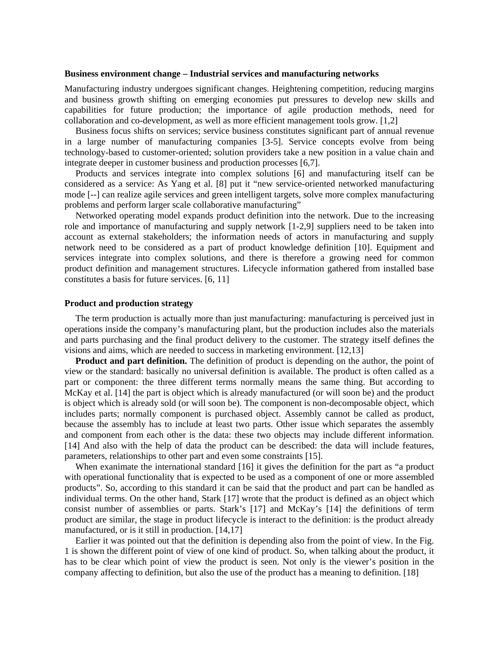#### **Business environment change – Industrial services and manufacturing networks**

Manufacturing industry undergoes significant changes. Heightening competition, reducing margins and business growth shifting on emerging economies put pressures to develop new skills and capabilities for future production; the importance of agile production methods, need for collaboration and co-development, as well as more efficient management tools grow. [1,2]

Business focus shifts on services; service business constitutes significant part of annual revenue in a large number of manufacturing companies [3-5]. Service concepts evolve from being technology-based to customer-oriented; solution providers take a new position in a value chain and integrate deeper in customer business and production processes [6,7].

Products and services integrate into complex solutions [6] and manufacturing itself can be considered as a service: As Yang et al. [8] put it "new service-oriented networked manufacturing mode [--] can realize agile services and green intelligent targets, solve more complex manufacturing problems and perform larger scale collaborative manufacturing"

Networked operating model expands product definition into the network. Due to the increasing role and importance of manufacturing and supply network [1-2,9] suppliers need to be taken into account as external stakeholders; the information needs of actors in manufacturing and supply network need to be considered as a part of product knowledge definition [10]. Equipment and services integrate into complex solutions, and there is therefore a growing need for common product definition and management structures. Lifecycle information gathered from installed base constitutes a basis for future services. [6, 11]

#### **Product and production strategy**

The term production is actually more than just manufacturing: manufacturing is perceived just in operations inside the company's manufacturing plant, but the production includes also the materials and parts purchasing and the final product delivery to the customer. The strategy itself defines the visions and aims, which are needed to success in marketing environment. [12,13]

**Product and part definition.** The definition of product is depending on the author, the point of view or the standard: basically no universal definition is available. The product is often called as a part or component: the three different terms normally means the same thing. But according to McKay et al. [14] the part is object which is already manufactured (or will soon be) and the product is object which is already sold (or will soon be). The component is non-decomposable object, which includes parts; normally component is purchased object. Assembly cannot be called as product, because the assembly has to include at least two parts. Other issue which separates the assembly and component from each other is the data: these two objects may include different information. [14] And also with the help of data the product can be described: the data will include features, parameters, relationships to other part and even some constraints [15].

When exanimate the international standard [16] it gives the definition for the part as "a product" with operational functionality that is expected to be used as a component of one or more assembled products". So, according to this standard it can be said that the product and part can be handled as individual terms. On the other hand, Stark [17] wrote that the product is defined as an object which consist number of assemblies or parts. Stark's [17] and McKay's [14] the definitions of term product are similar, the stage in product lifecycle is interact to the definition: is the product already manufactured, or is it still in production. [14,17]

Earlier it was pointed out that the definition is depending also from the point of view. In the Fig. 1 is shown the different point of view of one kind of product. So, when talking about the product, it has to be clear which point of view the product is seen. Not only is the viewer's position in the company affecting to definition, but also the use of the product has a meaning to definition. [18]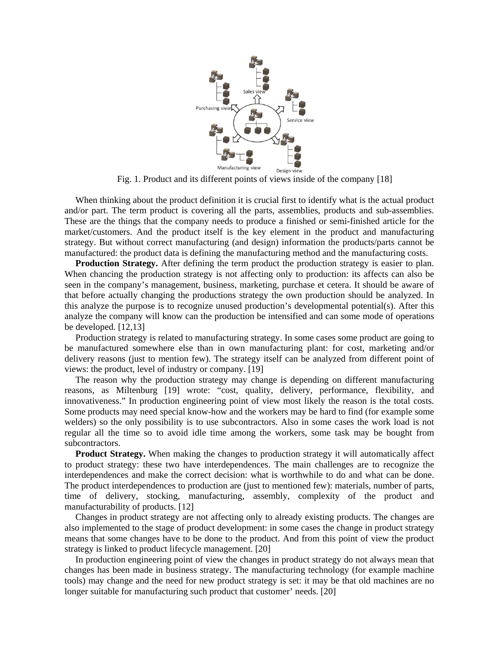

Fig. 1. Product and its different points of views inside of the company [18]

When thinking about the product definition it is crucial first to identify what is the actual product and/or part. The term product is covering all the parts, assemblies, products and sub-assemblies. These are the things that the company needs to produce a finished or semi-finished article for the market/customers. And the product itself is the key element in the product and manufacturing strategy. But without correct manufacturing (and design) information the products/parts cannot be manufactured: the product data is defining the manufacturing method and the manufacturing costs.

**Production Strategy.** After defining the term product the production strategy is easier to plan. When chancing the production strategy is not affecting only to production: its affects can also be seen in the company's management, business, marketing, purchase et cetera. It should be aware of that before actually changing the productions strategy the own production should be analyzed. In this analyze the purpose is to recognize unused production's developmental potential(s). After this analyze the company will know can the production be intensified and can some mode of operations be developed. [12,13]

Production strategy is related to manufacturing strategy. In some cases some product are going to be manufactured somewhere else than in own manufacturing plant: for cost, marketing and/or delivery reasons (just to mention few). The strategy itself can be analyzed from different point of views: the product, level of industry or company. [19]

The reason why the production strategy may change is depending on different manufacturing reasons, as Miltenburg [19] wrote: "cost, quality, delivery, performance, flexibility, and innovativeness." In production engineering point of view most likely the reason is the total costs. Some products may need special know-how and the workers may be hard to find (for example some welders) so the only possibility is to use subcontractors. Also in some cases the work load is not regular all the time so to avoid idle time among the workers, some task may be bought from subcontractors.

**Product Strategy.** When making the changes to production strategy it will automatically affect to product strategy: these two have interdependences. The main challenges are to recognize the interdependences and make the correct decision: what is worthwhile to do and what can be done. The product interdependences to production are (just to mentioned few): materials, number of parts, time of delivery, stocking, manufacturing, assembly, complexity of the product and manufacturability of products. [12]

Changes in product strategy are not affecting only to already existing products. The changes are also implemented to the stage of product development: in some cases the change in product strategy means that some changes have to be done to the product. And from this point of view the product strategy is linked to product lifecycle management. [20]

In production engineering point of view the changes in product strategy do not always mean that changes has been made in business strategy. The manufacturing technology (for example machine tools) may change and the need for new product strategy is set: it may be that old machines are no longer suitable for manufacturing such product that customer' needs. [20]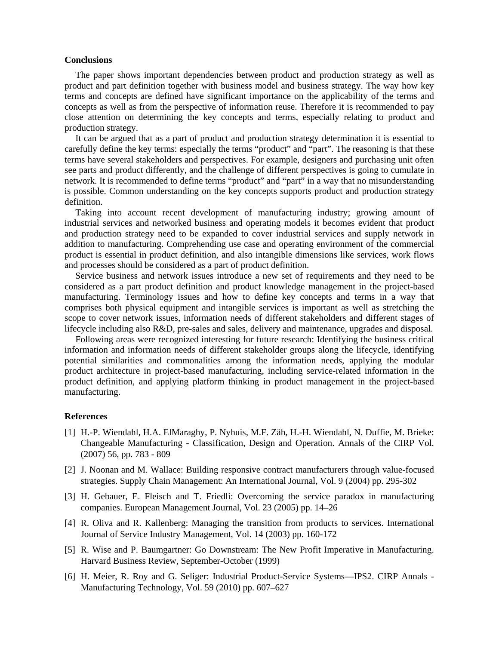### **Conclusions**

The paper shows important dependencies between product and production strategy as well as product and part definition together with business model and business strategy. The way how key terms and concepts are defined have significant importance on the applicability of the terms and concepts as well as from the perspective of information reuse. Therefore it is recommended to pay close attention on determining the key concepts and terms, especially relating to product and production strategy.

It can be argued that as a part of product and production strategy determination it is essential to carefully define the key terms: especially the terms "product" and "part". The reasoning is that these terms have several stakeholders and perspectives. For example, designers and purchasing unit often see parts and product differently, and the challenge of different perspectives is going to cumulate in network. It is recommended to define terms "product" and "part" in a way that no misunderstanding is possible. Common understanding on the key concepts supports product and production strategy definition.

Taking into account recent development of manufacturing industry; growing amount of industrial services and networked business and operating models it becomes evident that product and production strategy need to be expanded to cover industrial services and supply network in addition to manufacturing. Comprehending use case and operating environment of the commercial product is essential in product definition, and also intangible dimensions like services, work flows and processes should be considered as a part of product definition.

Service business and network issues introduce a new set of requirements and they need to be considered as a part product definition and product knowledge management in the project-based manufacturing. Terminology issues and how to define key concepts and terms in a way that comprises both physical equipment and intangible services is important as well as stretching the scope to cover network issues, information needs of different stakeholders and different stages of lifecycle including also R&D, pre-sales and sales, delivery and maintenance, upgrades and disposal.

Following areas were recognized interesting for future research: Identifying the business critical information and information needs of different stakeholder groups along the lifecycle, identifying potential similarities and commonalities among the information needs, applying the modular product architecture in project-based manufacturing, including service-related information in the product definition, and applying platform thinking in product management in the project-based manufacturing.

#### **References**

- [1] H.-P. Wiendahl, H.A. ElMaraghy, P. Nyhuis, M.F. Zäh, H.-H. Wiendahl, N. Duffie, M. Brieke: Changeable Manufacturing - Classification, Design and Operation. Annals of the CIRP Vol. (2007) 56, pp. 783 - 809
- [2] J. Noonan and M. Wallace: Building responsive contract manufacturers through value-focused strategies. Supply Chain Management: An International Journal, Vol. 9 (2004) pp. 295-302
- [3] H. Gebauer, E. Fleisch and T. Friedli: Overcoming the service paradox in manufacturing companies. European Management Journal, Vol. 23 (2005) pp. 14–26
- [4] R. Oliva and R. Kallenberg: Managing the transition from products to services. International Journal of Service Industry Management, Vol. 14 (2003) pp. 160-172
- [5] R. Wise and P. Baumgartner: Go Downstream: The New Profit Imperative in Manufacturing. Harvard Business Review, September-October (1999)
- [6] H. Meier, R. Roy and G. Seliger: Industrial Product-Service Systems—IPS2. CIRP Annals Manufacturing Technology, Vol. 59 (2010) pp. 607–627